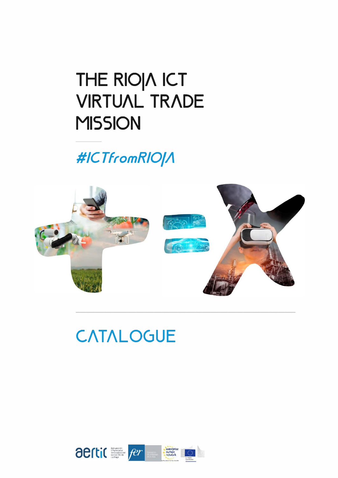# THE RIOIA ICT VIRTUAL TRADE **MISSION**

### *#IC TfromR/0/11*



# **CATALOGUE**

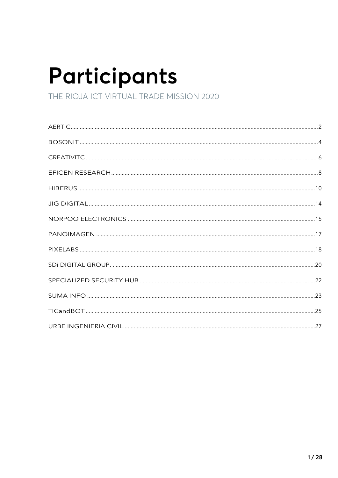# Participants

THE RIOJA ICT VIRTUAL TRADE MISSION 2020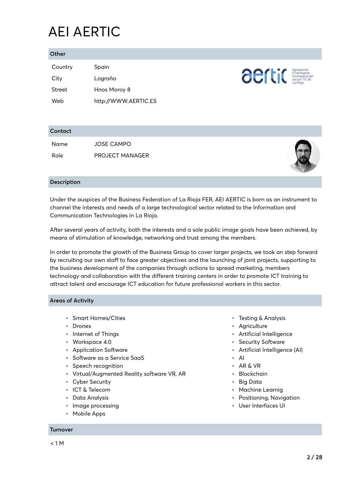# AEI AERTIC

#### **Other**

| Country | Spain                |
|---------|----------------------|
| City    | Logroño              |
| Street  | Hnos Moroy 8         |
| Web     | http://WWW.AERTIC.ES |

aertic **Experience** 

 $\sqrt{}$ 

| Contact      |                                             |  |
|--------------|---------------------------------------------|--|
| Name<br>Role | <b>JOSE CAMPO</b><br><b>PROJECT MANAGER</b> |  |

#### **Description**

Under the auspices of the Business Federation of La Rioja FER, AEI AERTIC is born as an instrument to channel the interests and needs of a large technological sector related to the Information and Communication Technologies in La Rioja.

After several years of activity, both the interests and a sole public image goals have been achieved, by means of stimulation of knowledge, networking and trust among the members.

In order to promote the growth of the Business Group to cover larger projects, we took an step forward by recruiting our own staff to face greater objectives and the launching of joint projects, supporting to the business development of the companies through actions to spread marketing, members technology and collaboration with the different training centers in order to promote ICT training to attract talent and encourage ICT education for future professional workers in this sector.

#### **Areas of Activity**

- Smart Homes/Cities
- Drones
- Internet of Things
- Workspace 4.0
- Application Software
- Software as a Service SaaS
- Speech recognition
- Virtual/Augmented Reality software VR, AR
- Cyber Security
- ICT & Telecom
- Data Analysis
- Image processing
- Mobile Apps
- Testing & Analysis
- Agriculture
- Artificial Intelligence
- Security Software
- Artificial Intelligence (AI)
- AI
- AR & VR
- Blockchain
- Big Data
- Machine Learnig
- Positioning, Navigation
- User Interfaces UI

#### **Turnover**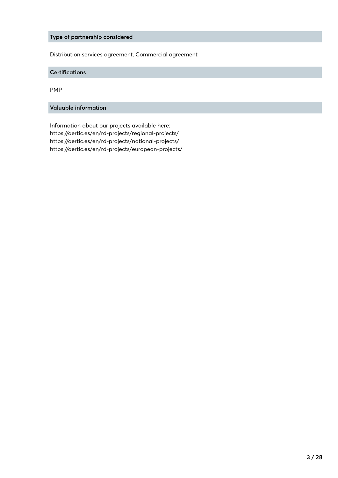#### **Type of partnership considered**

Distribution services agreement, Commercial agreement

#### **Certifications**

PMP

**Valuable information**

Information about our projects available here: https://aertic.es/en/rd-projects/regional-projects/ https://aertic.es/en/rd-projects/national-projects/ https://aertic.es/en/rd-projects/european-projects/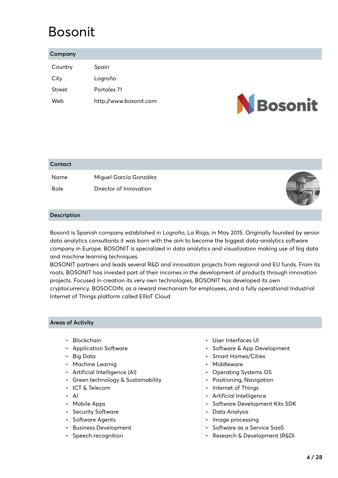### Bosonit

| Company |                        |         |
|---------|------------------------|---------|
| Country | Spain                  |         |
| City    | Logroño                |         |
| Street  | Portales 71            |         |
| Web     | http://www.bosonit.com | Bosonit |

| Contact      |                                                  |  |
|--------------|--------------------------------------------------|--|
| Name<br>Role | Miguel García González<br>Director of Innovation |  |

#### **Description**

Bosonit is Spanish company established in Logroño, La Rioja, in May 2015. Originally founded by senior data analytics consultants it was born with the aim to become the biggest data-analytics software company in Europe. BOSONIT is specialized in data analytics and visualization making use of big data and machine learning techniques.

BOSONIT partners and leads several R&D and innovation projects from regional and EU funds. From its roots, BOSONIT has invested part of their incomes in the development of products through innovation projects. Focused in creation its very own technologies, BOSONIT has developed its own cryptocurrency, BOSOCOIN, as a reward mechanism for employees, and a fully operational Industrial Internet of Things platform called EllIoT Cloud

#### **Areas of Activity**

- Blockchain
- Application Software
- Big Data
- Machine Learnig
- Artificial Intelligence (AI)
- Green technology & Sustainability
- ICT & Telecom
- AI
- Mobile Apps
- Security Software
- Software Agents
- Business Development
- Speech recognition
- User Interfaces UI
- Software & App Development
- Smart Homes/Cities
- Middleware
- Operating Systems OS
- Positioning, Navigation
- Internet of Things
- Artificial Intelligence
- Software Development Kits SDK
- Data Analysis
- Image processing
- Software as a Service SaaS
- Research & Development (R&D)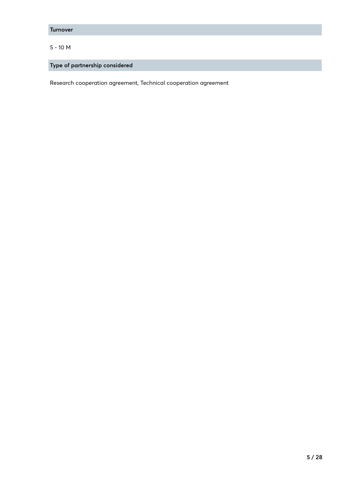```
Turnover
```
#### 5 - 10 M

#### **Type of partnership considered**

Research cooperation agreement, Technical cooperation agreement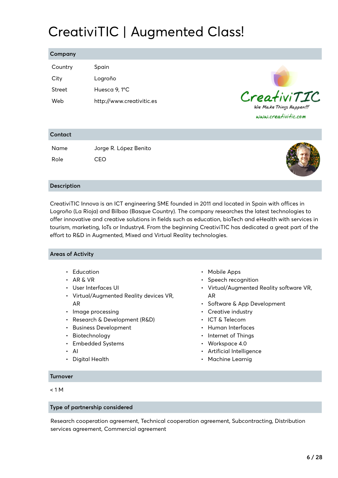### CreativiTIC | Augmented Class!

#### **Company**

| Country | Spain                     |
|---------|---------------------------|
| City    | Logroño                   |
| Street  | Huesca 9, 1°C             |
| Web     | http://www.creativitic.es |



#### **Contact**

| Name | Jorge R. López Benito |
|------|-----------------------|
| Role | CEO                   |



#### **Description**

CreativiTIC Innova is an ICT engineering SME founded in 2011 and located in Spain with offices in Logroño (La Rioja) and Bilbao (Basque Country). The company researches the latest technologies to offer innovative and creative solutions in fields such as education, bioTech and eHealth with services in tourism, marketing, IoTs or Industry4. From the beginning CreativiTIC has dedicated a great part of the effort to R&D in Augmented, Mixed and Virtual Reality technologies.

#### **Areas of Activity**

- Education
- AR & VR
- User Interfaces UI
- Virtual/Augmented Reality devices VR, AR
- Image processing
- Research & Development (R&D)
- Business Development
- Biotechnology
- Embedded Systems
- AI
- Digital Health
- Mobile Apps
- Speech recognition
- Virtual/Augmented Reality software VR, AR
- Software & App Development
- Creative industry
- ICT & Telecom
- Human Interfaces
- Internet of Things
- Workspace 4.0
- Artificial Intelligence
- Machine Learnig

#### **Turnover**

#### $< 1 M$

#### **Type of partnership considered**

Research cooperation agreement, Technical cooperation agreement, Subcontracting, Distribution services agreement, Commercial agreement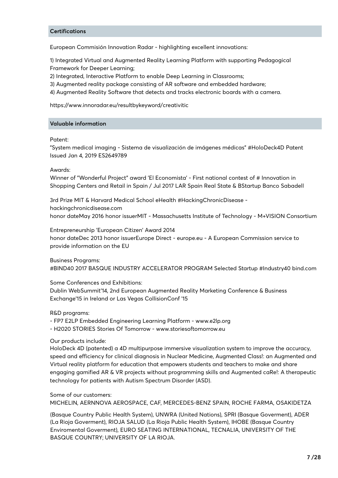#### **Certifications**

European Commisión Innovation Radar - highlighting excellent innovations:

1) Integrated Virtual and Augmented Reality Learning Platform with supporting Pedagogical Framework for Deeper Learning;

2) Integrated, Interactive Platform to enable Deep Learning in Classrooms;

3) Augmented reality package consisting of AR software and embedded hardware;

4) Augmented Reality Software that detects and tracks electronic boards with a camera.

https://www.innoradar.eu/resultbykeyword/creativitic

#### **Valuable information**

Patent:

"System medical imaging - Sistema de visualización de imágenes médicas" #HoloDeck4D Patent Issued Jan 4, 2019 ES2649789

#### Awards:

Winner of "Wonderful Project" award 'El Economista' - First national contest of # Innovation in Shopping Centers and Retail in Spain / Jul 2017 LAR Spain Real State & BStartup Banco Sabadell

3rd Prize MIT & Harvard Medical School eHealth #HackingChronicDisease hackingchronicdisease.com honor dateMay 2016 honor issuerMIT - Massachusetts Institute of Technology - M+VISION Consortium

Entrepreneurship 'European Citizen' Award 2014 honor dateDec 2013 honor issuerEurope Direct - europe.eu - A European Commission service to provide information on the EU

Business Programs: #BIND40 2017 BASQUE INDUSTRY ACCELERATOR PROGRAM Selected Startup #Industry40 bind.com

Some Conferences and Exhibitions:

Dublin WebSummit'14, 2nd European Augmented Reality Marketing Conference & Business Exchange'15 in Ireland or Las Vegas CollisionConf '15

R&D programs:

- FP7 E2LP Embedded Engineering Learning Platform - www.e2lp.org

- H2020 STORIES Stories Of Tomorrow - www.storiesoftomorrow.eu

#### Our products include:

HoloDeck 4D (patented) a 4D multipurpose immersive visualization system to improve the accuracy, speed and efficiency for clinical diagnosis in Nuclear Medicine, Augmented Class!: an Augmented and Virtual reality platform for education that empowers students and teachers to make and share engaging gamified AR & VR projects without programming skills and Augmented caRe!: A therapeutic technology for patients with Autism Spectrum Disorder (ASD).

Some of our customers:

MICHELIN, AERNNOVA AEROSPACE, CAF, MERCEDES-BENZ SPAIN, ROCHE FARMA, OSAKIDETZA

(Basque Country Public Health System), UNWRA (United Nations), SPRI (Basque Goverment), ADER (La Rioja Goverment), RIOJA SALUD (La Rioja Public Health System), IHOBE (Basque Country Enviromental Goverment), EURO SEATING INTERNATIONAL, TECNALIA, UNIVERSITY OF THE BASQUE COUNTRY; UNIVERSITY OF LA RIOJA.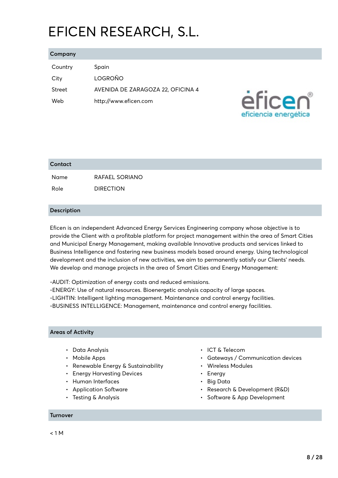## EFICEN RESEARCH, S.L.

#### **Company**

| Country | Spain                             |
|---------|-----------------------------------|
| City    | LOGROÑO                           |
| Street  | AVENIDA DE ZARAGOZA 22, OFICINA 4 |
| Web     | http://www.eficen.com             |



| Contact |                  |
|---------|------------------|
| Name    | RAFAEL SORIANO   |
| Role    | <b>DIRECTION</b> |

#### **Description**

Eficen is an independent Advanced Energy Services Engineering company whose objective is to provide the Client with a profitable platform for project management within the area of Smart Cities and Municipal Energy Management, making available Innovative products and services linked to Business Intelligence and fostering new business models based around energy. Using technological development and the inclusion of new activities, we aim to permanently satisfy our Clients' needs. We develop and manage projects in the area of Smart Cities and Energy Management:

-AUDIT: Optimization of energy costs and reduced emissions.

-ENERGY: Use of natural resources. Bioenergetic analysis capacity of large spaces.

-LIGHTIN: Intelligent lighting management. Maintenance and control energy facilities.

-BUSINESS INTELLIGENCE: Management, maintenance and control energy facilities.

#### **Areas of Activity**

- Data Analysis
- Mobile Apps
- Renewable Energy & Sustainability
- Energy Harvesting Devices
- Human Interfaces
- Application Software
- Testing & Analysis

#### **Turnover**

- ICT & Telecom
- Gateways / Communication devices
- Wireless Modules
- **Energy**
- Big Data
- Research & Development (R&D)
- Software & App Development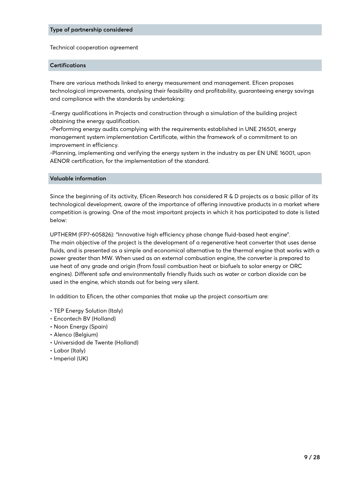#### **Type of partnership considered**

Technical cooperation agreement

#### **Certifications**

There are various methods linked to energy measurement and management. Eficen proposes technological improvements, analysing their feasibility and profitability, guaranteeing energy savings and compliance with the standards by undertaking:

-Energy qualifications in Projects and construction through a simulation of the building project obtaining the energy qualification.

-Performing energy audits complying with the requirements established in UNE 216501, energy management system implementation Certificate, within the framework of a commitment to an improvement in efficiency.

-Planning, implementing and verifying the energy system in the industry as per EN UNE 16001, upon AENOR certification, for the implementation of the standard.

#### **Valuable information**

Since the beginning of its activity, Eficen Research has considered R & D projects as a basic pillar of its technological development, aware of the importance of offering innovative products in a market where competition is growing. One of the most important projects in which it has participated to date is listed below:

UPTHERM (FP7-605826): "Innovative high efficiency phase change fluid-based heat engine". The main objective of the project is the development of a regenerative heat converter that uses dense fluids, and is presented as a simple and economical alternative to the thermal engine that works with a power greater than MW. When used as an external combustion engine, the converter is prepared to use heat of any grade and origin (from fossil combustion heat or biofuels to solar energy or ORC engines). Different safe and environmentally friendly fluids such as water or carbon dioxide can be used in the engine, which stands out for being very silent.

In addition to Eficen, the other companies that make up the project consortium are:

- TEP Energy Solution (Italy)
- Encontech BV (Holland)
- Noon Energy (Spain)
- Alenco (Belgium)
- Universidad de Twente (Holland)
- Labor (Italy)
- Imperial (UK)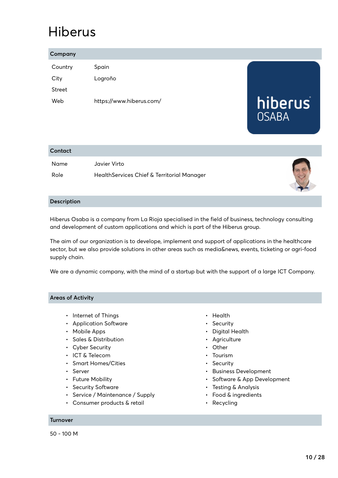### Hiberus

| Company |                          |                  |
|---------|--------------------------|------------------|
| Country | Spain                    |                  |
| City    | Logroño                  |                  |
| Street  |                          |                  |
| Web     | https://www.hiberus.com/ | hiberus<br>NSARA |

| Contact |                                            |  |
|---------|--------------------------------------------|--|
| Name    | Javier Virto                               |  |
| Role    | HealthServices Chief & Territorial Manager |  |

#### **Description**

Hiberus Osaba is a company from La Rioja specialised in the field of business, technology consulting and development of custom applications and which is part of the Hiberus group.

The aim of our organization is to develope, implement and support of applications in the healthcare sector, but we also provide solutions in other areas such as media&news, events, ticketing or agri-food supply chain.

We are a dynamic company, with the mind of a startup but with the support of a large ICT Company.

#### **Areas of Activity**

- Internet of Things
- Application Software
- Mobile Apps
- Sales & Distribution
- Cyber Security
- ICT & Telecom
- Smart Homes/Cities
- Server
- Future Mobility
- Security Software
- Service / Maintenance / Supply
- Consumer products & retail
- Health
- Security
- Digital Health
- Agriculture
- Other
- Tourism
- Security
- Business Development
- Software & App Development
- Testing & Analysis
- Food & ingredients
- Recycling

#### **Turnover**

50 - 100 M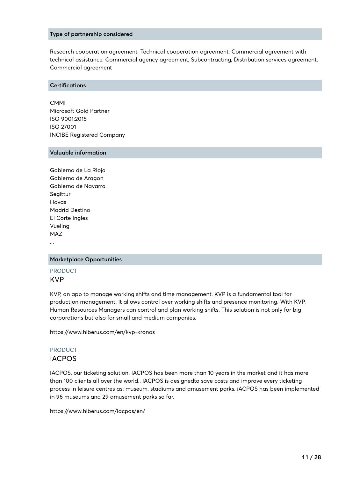#### **Type of partnership considered**

Research cooperation agreement, Technical cooperation agreement, Commercial agreement with technical assistance, Commercial agency agreement, Subcontracting, Distribution services agreement, Commercial agreement

#### **Certifications**

CMMI Microsoft Gold Partner ISO 9001:2015 ISO 27001 INCIBE Registered Company

#### **Valuable information**

Gobierno de La Rioja Gobierno de Aragon Gobierno de Navarra Segittur Havas Madrid Destino El Corte Ingles Vueling MAZ ...

#### **Marketplace Opportunities**

PRODUCT KVP

KVP, an app to manage working shifts and time management. KVP is a fundamental tool for production management. It allows control over working shifts and presence monitoring. With KVP, Human Resources Managers can control and plan working shifts. This solution is not only for big corporations but also for small and medium companies.

https://www.hiberus.com/en/kvp-kronos

### PRODUCT

#### IACPOS

IACPOS, our ticketing solution. IACPOS has been more than 10 years in the market and it has more than 100 clients all over the world.. IACPOS is designedto save costs and improve every ticketing process in leisure centres as: museum, stadiums and amusement parks. iACPOS has been implemented in 96 museums and 29 amusement parks so far.

https://www.hiberus.com/iacpos/en/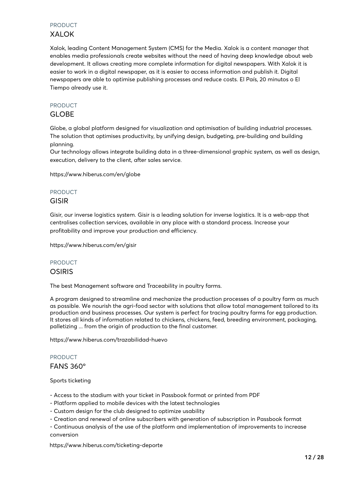#### PRODUCT XALOK

Xalok, leading Content Management System (CMS) for the Media. Xalok is a content manager that enables media professionals create websites without the need of having deep knowledge about web development. It allows creating more complete information for digital newspapers. With Xalok it is easier to work in a digital newspaper, as it is easier to access information and publish it. Digital newspapers are able to optimise publishing processes and reduce costs. El País, 20 minutos o El Tiempo already use it.

#### PRODUCT

#### GLOBE

Globe, a global platform designed for visualization and optimisation of building industrial processes. The solution that optimises productivity, by unifying design, budgeting, pre-building and building planning.

Our technology allows integrate building data in a three-dimensional graphic system, as well as design, execution, delivery to the client, after sales service.

https://www.hiberus.com/en/globe

#### PRODUCT

#### GISIR

Gisir, our inverse logistics system. Gisir is a leading solution for inverse logistics. It is a web-app that centralises collection services, available in any place with a standard process. Increase your profitability and improve your production and efficiency.

https://www.hiberus.com/en/gisir

#### PRODUCT

#### OSIRIS

The best Management software and Traceability in poultry farms.

A program designed to streamline and mechanize the production processes of a poultry farm as much as possible. We nourish the agri-food sector with solutions that allow total management tailored to its production and business processes. Our system is perfect for tracing poultry farms for egg production. It stores all kinds of information related to chickens, chickens, feed, breeding environment, packaging, palletizing ... from the origin of production to the final customer.

https://www.hiberus.com/trazabilidad-huevo

### PRODUCT

#### FANS 360º

#### Sports ticketing

- Access to the stadium with your ticket in Passbook format or printed from PDF
- Platform applied to mobile devices with the latest technologies
- Custom design for the club designed to optimize usability
- Creation and renewal of online subscribers with generation of subscription in Passbook format

- Continuous analysis of the use of the platform and implementation of improvements to increase conversion

https://www.hiberus.com/ticketing-deporte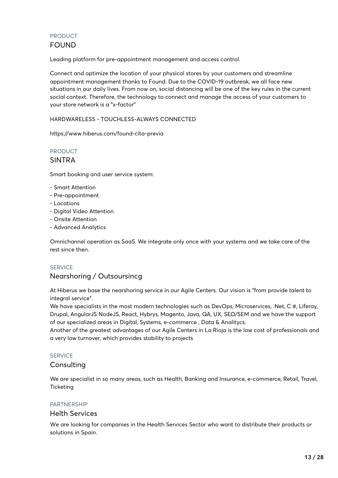#### PRODUCT FOUND

Leading platform for pre-appointment management and access control.

Connect and optimize the location of your physical stores by your customers and streamline appointment management thanks to Found. Due to the COVID-19 outbreak, we all face new situations in our daily lives. From now on, social distancing will be one of the key rules in the current social context. Therefore, the technology to connect and manage the access of your customers to your store network is a "x-factor"

HARDWARELESS - TOUCHLESS-ALWAYS CONNECTED

https://www.hiberus.com/found-cita-previa

PRODUCT SINTRA

Smart booking and user service system:

- Smart Attention
- Pre-appointment
- Locations
- Digital Video Attention
- Onsite Attention
- Advanced Analytics

Omnichannel operation as SaaS. We integrate only once with your systems and we take care of the rest since then.

#### **SERVICE**

#### Nearshoring / Outsoursincg

At Hiberus we base the nearshoring service in our Agile Centers. Our vision is "from provide talent to integral service".

We have specialists in the most modern technologies such as DevOps, Microservices, .Net, C #, Liferay, Drupal, AngularJS NodeJS, React, Hybrys, Magento, Java, QA, UX, SEO/SEM and we have the support of our specialized areas in Digital, Systems, e-commerce , Data & Analitycs.

Another of the greatest advantages of our Agile Centers in La Rioja is the low cost of professionals and a very low turnover, which provides stability to projects

#### SERVICE

#### **Consulting**

We are specialist in so many areas, such as Health, Banking and Insurance, e-commerce, Retail, Travel, **Ticketing** 

#### PARTNERSHIP

#### Helth Services

We are looking for companies in the Health Services Sector who want to distribute their products or solutions in Spain.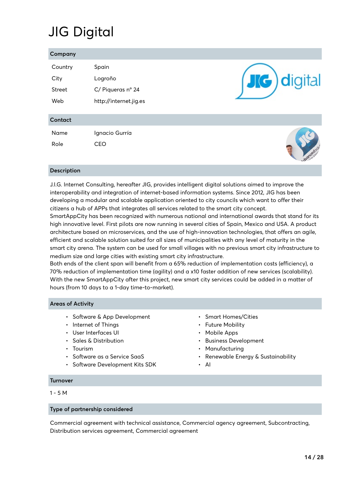# JIG Digital

| Company       |                        |            |
|---------------|------------------------|------------|
| Country       | Spain                  |            |
| City          | Logroño                | JG digital |
| <b>Street</b> | C/ Piqueras nº 24      |            |
| Web           | http://internet.jig.es |            |
| Contact       |                        |            |
| Name          | Ignacio Gurría         |            |
| Role          | <b>CEO</b>             | ncedsolv.  |
|               |                        |            |

#### **Description**

J.I.G. Internet Consulting, hereafter JIG, provides intelligent digital solutions aimed to improve the interoperability and integration of internet-based information systems. Since 2012, JIG has been developing a modular and scalable application oriented to city councils which want to offer their citizens a hub of APPs that integrates all services related to the smart city concept.

SmartAppCity has been recognized with numerous national and international awards that stand for its high innovative level. First pilots are now running in several cities of Spain, Mexico and USA. A product architecture based on microservices, and the use of high-innovation technologies, that offers an agile, efficient and scalable solution suited for all sizes of municipalities with any level of maturity in the smart city arena. The system can be used for small villages with no previous smart city infrastructure to medium size and large cities with existing smart city infrastructure.

Both ends of the client span will benefit from a 65% reduction of implementation costs (efficiency), a 70% reduction of implementation time (agility) and a x10 faster addition of new services (scalability). With the new SmartAppCity after this project, new smart city services could be added in a matter of hours (from 10 days to a 1-day time-to-market).

#### **Areas of Activity**

- Software & App Development
- Internet of Things
- User Interfaces UI
- Sales & Distribution
- Tourism
- Software as a Service SaaS
- Software Development Kits SDK
- Smart Homes/Cities
- Future Mobility
- Mobile Apps
- Business Development
- Manufacturing
- Renewable Energy & Sustainability
- AI

### **Turnover**

#### $1 - 5 M$

#### **Type of partnership considered**

Commercial agreement with technical assistance, Commercial agency agreement, Subcontracting, Distribution services agreement, Commercial agreement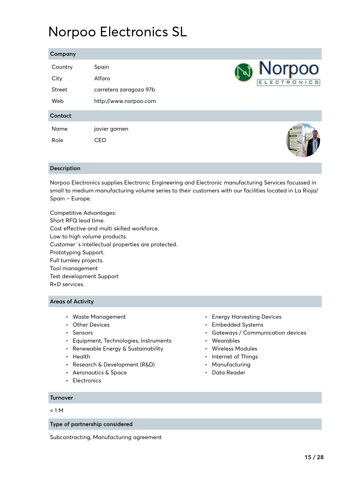### Norpoo Electronics SL

#### **Company**

| Country<br>City<br><b>Street</b><br>Web | Spain<br>Alfaro<br>carretera zaragoza 97b<br>http://www.norpoo.com | <b>Norpoo</b> |
|-----------------------------------------|--------------------------------------------------------------------|---------------|
| Contact                                 |                                                                    |               |
| Name<br>Role                            | javier gamen<br><b>CEO</b>                                         |               |

#### **Description**

Norpoo Electronics supplies Electronic Engineering and Electronic manufacturing Services focussed in small to medium manufacturing volume series to their customers with our facilities located in La Rioja/ Spain – Europe.

Competitive Advantages: Short RFQ lead time. Cost effective and multi skilled workforce. Low to high volume products. Customer´s intellectual properties are protected. Prototyping Support. Full turnkey projects. Tool management Test development Support R+D services.

#### **Areas of Activity**

- Waste Management
- Other Devices
- Sensors
- Equipment, Technologies, Instruments
- Renewable Energy & Sustainability
- Health
- Research & Development (R&D)
- Aeronautics & Space
- Electronics
- Energy Harvesting Devices
- Embedded Systems
- Gateways / Communication devices
- Wearables
- Wireless Modules
- Internet of Things
- Manufacturing
- Data Reader

**Turnover**

#### < 1 M

#### **Type of partnership considered**

Subcontracting, Manufacturing agreement

 $\frac{C_{\text{PQ}}}{C_{\text{PQ}}}$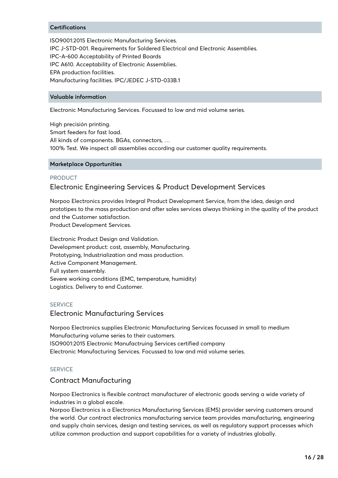#### **Certifications**

ISO9001:2015 Electronic Manufacturing Services. IPC J-STD-001. Requirements for Soldered Electrical and Electronic Assemblies. IPC-A-600 Acceptability of Printed Boards IPC A610. Acceptability of Electronic Assemblies. EPA production facilities. Manufacturing facilities. IPC/JEDEC J-STD-033B.1

#### **Valuable information**

Electronic Manufacturing Services. Focussed to low and mid volume series.

High precisión printing. Smart feeders for fast load. All kinds of components. BGAs, connectors, … 100% Test. We inspect all assemblies according our customer quality requirements.

#### **Marketplace Opportunities**

#### PRODUCT

#### Electronic Engineering Services & Product Development Services

Norpoo Electronics provides Integral Product Development Service, from the idea, design and prototipes to the mass production and after sales services always thinking in the quality of the product and the Customer satisfaction.

Product Development Services.

Electronic Product Design and Validation. Development product: cost, assembly, Manufacturing. Prototyping, Industrialization and mass production. Active Component Management. Full system assembly. Severe working conditions (EMC, temperature, humidity) Logistics. Delivery to end Customer.

#### SERVICE

#### Electronic Manufacturing Services

Norpoo Electronics supplies Electronic Manufacturing Services focussed in small to medium Manufacturing volume series to their customers. ISO9001:2015 Electronic Manufactruing Services certified company Electronic Manufacturing Services. Focussed to low and mid volume series.

#### SERVICE

#### Contract Manufacturing

Norpoo Electronics is flexible contract manufacturer of electronic goods serving a wide variety of industries in a global escale.

Norpoo Electronics is a Electronics Manufacturing Services (EMS) provider serving customers around the world. Our contract electronics manufacturing service team provides manufacturing, engineering and supply chain services, design and testing services, as well as regulatory support processes which utilize common production and support capabilities for a variety of industries globally.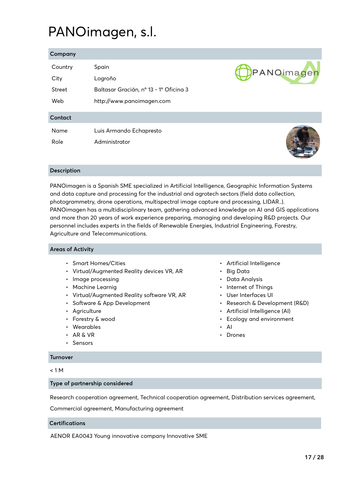### PANOimagen, s.l.

| Company |                                        |
|---------|----------------------------------------|
| Country | Spain                                  |
| City    | Logroño                                |
| Street  | Baltasar Gracián, nº 13 - 1º Oficina 3 |



#### **Contact**

| Name | Luis Armando Echapresto |
|------|-------------------------|
| Role | Administrator           |

Web http://www.panoimagen.com



#### **Description**

PANOimagen is a Spanish SME specialized in Artificial Intelligence, Geographic Information Systems and data capture and processing for the industrial and agrotech sectors (field data collection, photogrammetry, drone operations, multispectral image capture and processing, LIDAR..). PANOimagen has a multidisciplinary team, gathering advanced knowledge on AI and GIS applications and more than 20 years of work experience preparing, managing and developing R&D projects. Our personnel includes experts in the fields of Renewable Energies, Industrial Engineering, Forestry, Agriculture and Telecommunications.

#### **Areas of Activity**

- Smart Homes/Cities
- Virtual/Augmented Reality devices VR, AR
- Image processing
- Machine Learnig
- Virtual/Augmented Reality software VR, AR
- Software & App Development
- Agriculture
- Forestry & wood
- Wearables
- AR & VR
- Sensors

#### **Turnover**

 $< 1 M$ 

#### **Type of partnership considered**

Research cooperation agreement, Technical cooperation agreement, Distribution services agreement,

Commercial agreement, Manufacturing agreement

#### **Certifications**

AENOR EA0043 Young innovative company Innovative SME

- Artificial Intelligence
- Big Data
- Data Analysis
- Internet of Things
- User Interfaces UI
- Research & Development (R&D)
- Artificial Intelligence (AI)
- Ecology and environment
- AI
- Drones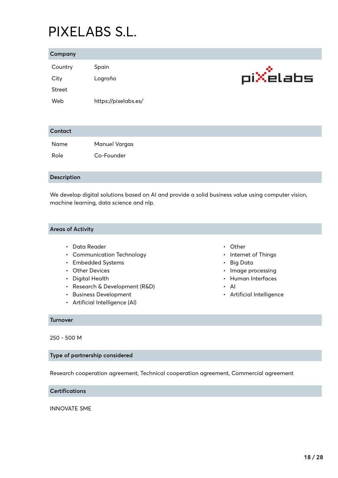## PIXELABS S.L.

#### **Company**

| Country | Spain                |
|---------|----------------------|
| City    | Logroño              |
| Street  |                      |
| Web     | https://pixelabs.es/ |



### **Contact** Name Manuel Vargas Role Co-Founder

#### **Description**

We develop digital solutions based on AI and provide a solid business value using computer vision, machine learning, data science and nlp.

#### **Areas of Activity**

- Data Reader
- Communication Technology
- Embedded Systems
- Other Devices
- Digital Health
- Research & Development (R&D)
- Business Development
- Artificial Intelligence (AI)
- Other
- Internet of Things
- Big Data
- Image processing
- Human Interfaces
- AI
- Artificial Intelligence

#### **Turnover**

250 - 500 M

#### **Type of partnership considered**

Research cooperation agreement, Technical cooperation agreement, Commercial agreement

#### **Certifications**

#### INNOVATE SME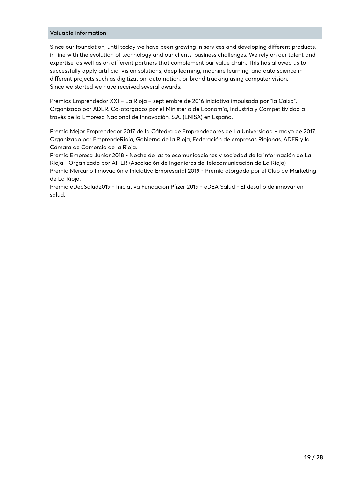#### **Valuable information**

Since our foundation, until today we have been growing in services and developing different products, in line with the evolution of technology and our clients' business challenges. We rely on our talent and expertise, as well as on different partners that complement our value chain. This has allowed us to successfully apply artificial vision solutions, deep learning, machine learning, and data science in different projects such as digitization, automation, or brand tracking using computer vision. Since we started we have received several awards:

Premios Emprendedor XXI – La Rioja – septiembre de 2016 iniciativa impulsada por "la Caixa". Organizado por ADER. Co-otorgados por el Ministerio de Economía, Industria y Competitividad a través de la Empresa Nacional de Innovación, S.A. (ENISA) en España.

Premio Mejor Emprendedor 2017 de la Cátedra de Emprendedores de La Universidad – mayo de 2017. Organizado por EmprendeRioja, Gobierno de la Rioja, Federación de empresas Riojanas, ADER y la Cámara de Comercio de la Rioja.

Premio Empresa Junior 2018 - Noche de las telecomunicaciones y sociedad de la información de La Rioja - Organizado por AITER (Asociación de Ingenieros de Telecomunicación de La Rioja) Premio Mercurio Innovación e Iniciativa Empresarial 2019 - Premio otorgado por el Club de Marketing de La Rioja.

Premio eDeaSalud2019 - Iniciativa Fundación Pfizer 2019 - eDEA Salud - El desafío de innovar en salud.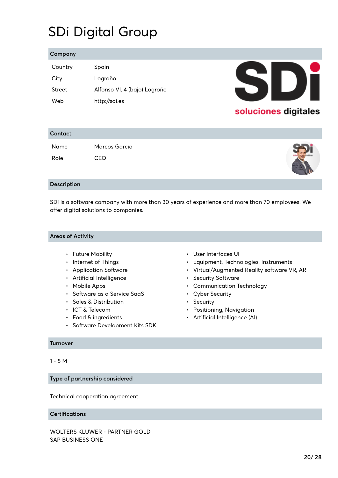### SDi Digital Group

#### **Company**

| Country | Spain                        |
|---------|------------------------------|
| City    | Logroño                      |
| Street  | Alfonso VI, 4 (bajo) Logroño |
| Web     | http://sdi.es                |



### **Contact** Name Marcos García Role CEO

#### **Description**

SDi is a software company with more than 30 years of experience and more than 70 employees. We offer digital solutions to companies.

#### **Areas of Activity**

- Future Mobility
- Internet of Things
- Application Software
- Artificial Intelligence
- Mobile Apps
- Software as a Service SaaS
- Sales & Distribution
- ICT & Telecom
- Food & ingredients
- Software Development Kits SDK
- User Interfaces UI
- Equipment, Technologies, Instruments
- Virtual/Augmented Reality software VR, AR
- Security Software
- Communication Technology
- Cyber Security
- Security
- Positioning, Navigation
- Artificial Intelligence (AI)

#### **Turnover**

#### $1 - 5 M$

#### **Type of partnership considered**

Technical cooperation agreement

#### **Certifications**

WOLTERS KLUWER - PARTNER GOLD SAP BUSINESS ONE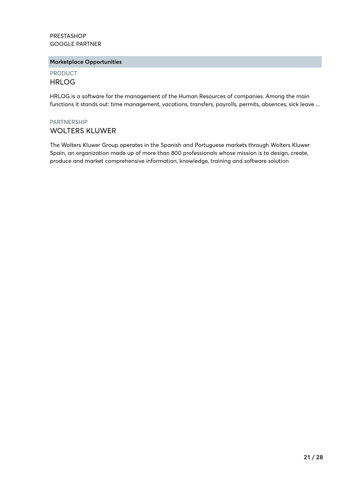#### PRESTASHOP GOOGLE PARTNER

#### **Marketplace Opportunities**

PRODUCT HRLOG

HRLOG is a software for the management of the Human Resources of companies. Among the main functions it stands out: time management, vacations, transfers, payrolls, permits, absences, sick leave ...

#### PARTNERSHIP WOLTERS KLUWER

The Wolters Kluwer Group operates in the Spanish and Portuguese markets through Wolters Kluwer Spain, an organization made up of more than 800 professionals whose mission is to design, create, produce and market comprehensive information, knowledge, training and software solution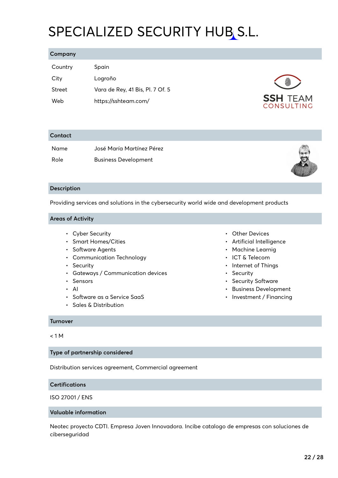### SPECIALIZED SECURITY HUB S.L.

#### **Company**

| Country | Spain                            |
|---------|----------------------------------|
| City    | Logroño                          |
| Street  | Vara de Rey, 41 Bis, Pl. 7 Of. 5 |
| Web     | https://sshteam.com/             |



#### **Contact**

| Name | José María Martínez Pérez   |
|------|-----------------------------|
| Role | <b>Business Development</b> |

#### **Description**

Providing services and solutions in the cybersecurity world wide and development products

#### **Areas of Activity**

- Cyber Security
- Smart Homes/Cities
- Software Agents
- Communication Technology
- Security
- Gateways / Communication devices
- Sensors
- AI
- Software as a Service SaaS
- Sales & Distribution

#### **Turnover**

#### $< 1 M$

#### **Type of partnership considered**

Distribution services agreement, Commercial agreement

#### **Certifications**

ISO 27001 / ENS

#### **Valuable information**

Neotec proyecto CDTI. Empresa Joven Innovadora. Incibe catalogo de empresas con soluciones de ciberseguridad

- Other Devices
- Artificial Intelligence
- Machine Learnig
- ICT & Telecom
- Internet of Things
- Security
- Security Software
- Business Development
- Investment / Financing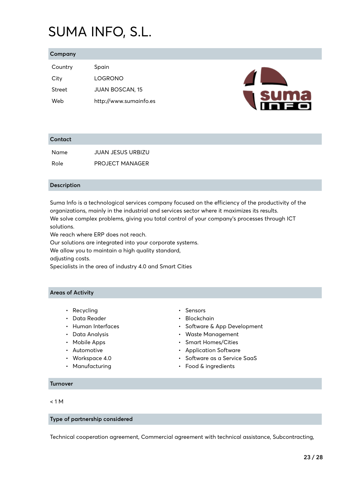### SUMA INFO, S.L.

#### **Company**

| Country | Spain                  |
|---------|------------------------|
| City    | <b>LOGRONO</b>         |
| Street  | <b>JUAN BOSCAN, 15</b> |
| Web     | http://www.sumainfo.es |



#### **Contact**

| Name | <b>JUAN JESUS URBIZU</b> |
|------|--------------------------|
| Role | <b>PROJECT MANAGER</b>   |

#### **Description**

Suma Info is a technological services company focused on the efficiency of the productivity of the organizations, mainly in the industrial and services sector where it maximizes its results. We solve complex problems, giving you total control of your company's processes through ICT solutions.

We reach where ERP does not reach.

Our solutions are integrated into your corporate systems.

We allow you to maintain a high quality standard,

adjusting costs.

Specialists in the area of industry 4.0 and Smart Cities

#### **Areas of Activity**

- Recycling
- Data Reader
- Human Interfaces
- Data Analysis
- Mobile Apps
- Automotive
- Workspace 4.0
- Manufacturing
- Sensors
- Blockchain
- Software & App Development
- Waste Management
- Smart Homes/Cities
- Application Software
- Software as a Service SaaS
- Food & ingredients

#### **Turnover**

#### $< 1 M$

#### **Type of partnership considered**

Technical cooperation agreement, Commercial agreement with technical assistance, Subcontracting,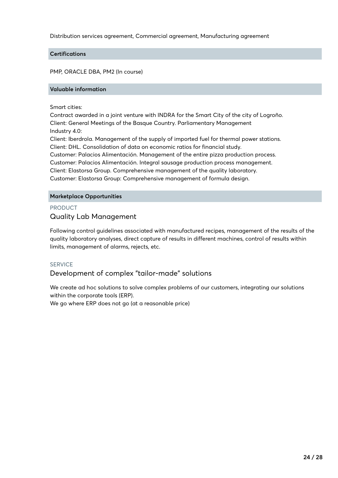#### Distribution services agreement, Commercial agreement, Manufacturing agreement

#### **Certifications**

PMP, ORACLE DBA, PM2 (In course)

#### **Valuable information**

#### Smart cities:

Contract awarded in a joint venture with INDRA for the Smart City of the city of Logroño. Client: General Meetings of the Basque Country. Parliamentary Management Industry 4.0: Client: Iberdrola. Management of the supply of imported fuel for thermal power stations. Client: DHL. Consolidation of data on economic ratios for financial study. Customer: Palacios Alimentación. Management of the entire pizza production process. Customer: Palacios Alimentación. Integral sausage production process management. Client: Elastorsa Group. Comprehensive management of the quality laboratory. Customer: Elastorsa Group: Comprehensive management of formula design.

#### **Marketplace Opportunities**

PRODUCT Quality Lab Management

Following control guidelines associated with manufactured recipes, management of the results of the quality laboratory analyses, direct capture of results in different machines, control of results within limits, management of alarms, rejects, etc.

#### SERVICE

#### Development of complex "tailor-made" solutions

We create ad hoc solutions to solve complex problems of our customers, integrating our solutions within the corporate tools (ERP).

We go where ERP does not go (at a reasonable price)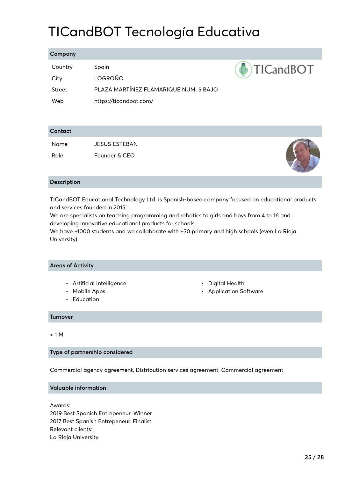## TICandBOT Tecnología Educativa

|  | Company |  |  |
|--|---------|--|--|
|  |         |  |  |

| Country | Spain                                 |
|---------|---------------------------------------|
| City    | LOGROÑO                               |
| Street  | PLAZA MARTÍNEZ FLAMARIQUE NUM. 5 BAJO |
| Web     | https://ticandbot.com/                |

| Contact |                      |  |
|---------|----------------------|--|
| Name    | <b>JESUS ESTEBAN</b> |  |
| Role    | Founder & CEO        |  |

#### **Description**

TICandBOT Educational Technology Ltd. is Spanish-based company focused on educational products and services founded in 2015.

We are specialists on teaching programming and robotics to girls and boys from 4 to 16 and developing innovative educational products for schools.

We have +1000 students and we collaborate with +30 primary and high schools (even La Rioja University)

#### **Areas of Activity**

- Artificial Intelligence
- Mobile Apps
- Education
- Digital Health
- Application Software

di TICandBOT

**Turnover**

 $< 1 M$ 

#### **Type of partnership considered**

Commercial agency agreement, Distribution services agreement, Commercial agreement

#### **Valuable information**

Awards: 2019 Best Spanish Entrepeneur. Winner 2017 Best Spanish Entrepeneur. Finalist Relevant clients: La Rioja University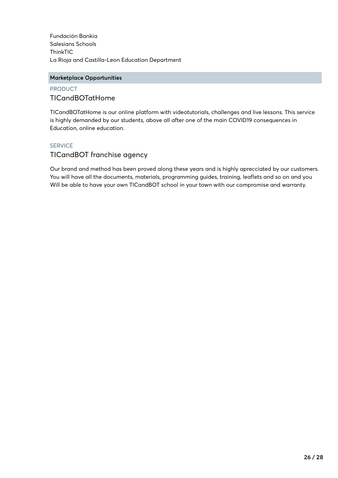Fundación Bankia Salesians Schools ThinkTIC La Rioja and Castilla-Leon Education Department

#### **Marketplace Opportunities**

#### PRODUCT TICandBOTatHome

TICandBOTatHome is our online platform with videotutorials, challenges and live lessons. This service is highly demanded by our students, above all after one of the main COVID19 consequences in Education, online education.

#### SERVICE

#### TICandBOT franchise agency

Our brand and method has been proved along these years and is highly aprecciated by our customers. You will have all the documents, materials, programming guides, training, leaflets and so on and you Will be able to have your own TICandBOT school in your town with our compromise and warranty.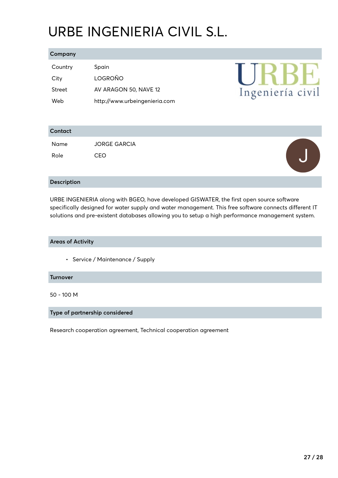## URBE INGENIERIA CIVIL S.L.

#### **Company**

| Country | Spain                         |
|---------|-------------------------------|
| City    | LOGROÑO                       |
| Street  | AV ARAGON 50, NAVE 12         |
| Web     | http://www.urbeingenieria.com |



### **Contact** Name JORGE GARCIA  $\overline{\mathsf{J}}$ Role CEO

#### **Description**

URBE INGENIERIA along with BGEO, have developed GISWATER, the first open source software specifically designed for water supply and water management. This free software connects different IT solutions and pre-existent databases allowing you to setup a high performance management system.

#### **Areas of Activity**

• Service / Maintenance / Supply

#### **Turnover**

50 - 100 M

#### **Type of partnership considered**

Research cooperation agreement, Technical cooperation agreement